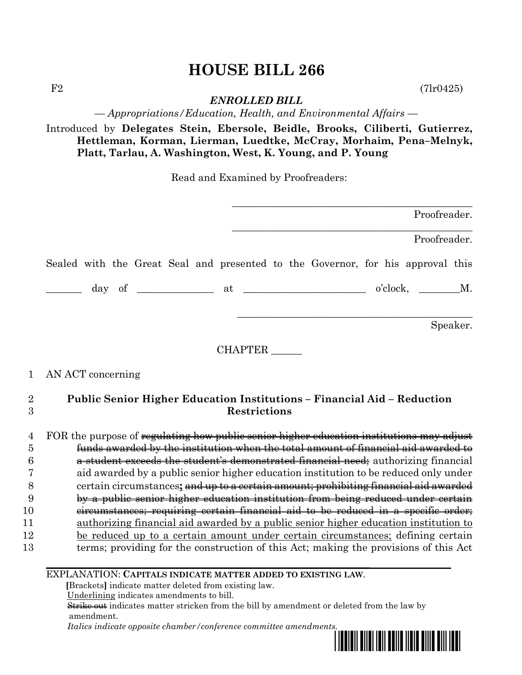## **HOUSE BILL 266**

 $F2$  (7lr0425)

*ENROLLED BILL*

*— Appropriations/Education, Health, and Environmental Affairs —*

Introduced by **Delegates Stein, Ebersole, Beidle, Brooks, Ciliberti, Gutierrez, Hettleman, Korman, Lierman, Luedtke, McCray, Morhaim, Pena–Melnyk, Platt, Tarlau, A. Washington, West, K. Young, and P. Young**

Read and Examined by Proofreaders:

|                | Proofreader.                                                                             |
|----------------|------------------------------------------------------------------------------------------|
|                | Proofreader.                                                                             |
|                | Sealed with the Great Seal and presented to the Governor, for his approval this          |
|                |                                                                                          |
|                | Speaker.                                                                                 |
|                | <b>CHAPTER</b>                                                                           |
| 1              | AN ACT concerning                                                                        |
| $\overline{2}$ | <b>Public Senior Higher Education Institutions - Financial Aid - Reduction</b>           |
| 3              | <b>Restrictions</b>                                                                      |
| $\overline{4}$ | FOR the purpose of regulating how public senior higher education institutions may adjust |
| 5              | funds awarded by the institution when the total amount of financial aid awarded to       |
| 6              | a student exceeds the student's demonstrated financial need; authorizing financial       |
|                | aid awarded by a public senior higher education institution to be reduced only under     |
| 8              | certain circumstances; and up to a certain amount; prohibiting financial aid awarded     |
| 9              | by a public senior higher education institution from being reduced under certain         |
| 10             | eircumstances; requiring certain financial aid to be reduced in a specific order;        |
| 11             | authorizing financial aid awarded by a public senior higher education institution to     |
| 12             | be reduced up to a certain amount under certain circumstances; defining certain          |
| 13             | terms; providing for the construction of this Act; making the provisions of this Act     |
|                |                                                                                          |

EXPLANATION: **CAPITALS INDICATE MATTER ADDED TO EXISTING LAW**.

 **[**Brackets**]** indicate matter deleted from existing law.

Underlining indicates amendments to bill.

 Strike out indicates matter stricken from the bill by amendment or deleted from the law by amendment.

 *Italics indicate opposite chamber/conference committee amendments.*

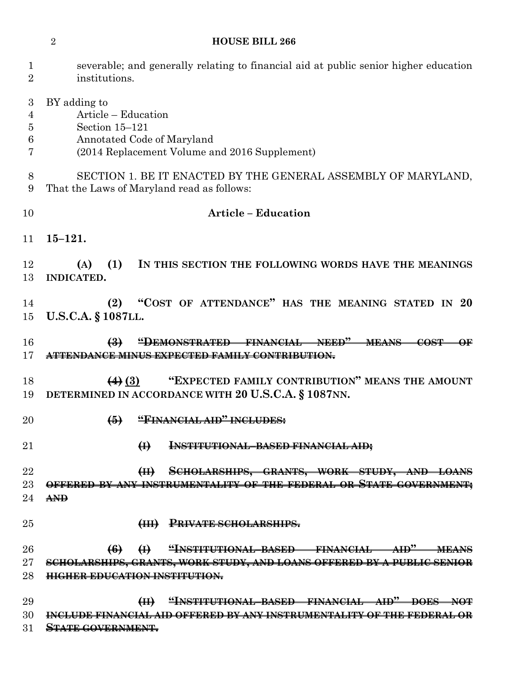## **HOUSE BILL 266**

| severable; and generally relating to financial aid at public senior higher education<br>institutions.                                                               |
|---------------------------------------------------------------------------------------------------------------------------------------------------------------------|
| BY adding to<br>Article - Education<br>Section 15-121<br>Annotated Code of Maryland<br>(2014 Replacement Volume and 2016 Supplement)                                |
| SECTION 1. BE IT ENACTED BY THE GENERAL ASSEMBLY OF MARYLAND,<br>That the Laws of Maryland read as follows:                                                         |
| <b>Article - Education</b>                                                                                                                                          |
| $15 - 121.$                                                                                                                                                         |
| (1)<br>IN THIS SECTION THE FOLLOWING WORDS HAVE THE MEANINGS<br>(A)<br><b>INDICATED.</b>                                                                            |
| "COST OF ATTENDANCE" HAS THE MEANING STATED IN 20<br>(2)<br><b>U.S.C.A. § 1087LL.</b>                                                                               |
| "DEMONSTRATED FINANCIAL NEED" MEANS<br>$\left(\frac{3}{2}\right)$<br>$-COST$<br><b>ATTENDANCE MINUS EXPECTED FAMILY CONTRIBUTION.</b>                               |
| "EXPECTED FAMILY CONTRIBUTION" MEANS THE AMOUNT<br>(4)(3)<br>DETERMINED IN ACCORDANCE WITH 20 U.S.C.A. § 1087NN.                                                    |
| "FINANCIAL AID" INCLUDES:<br>$\bigoplus$                                                                                                                            |
| $\bigoplus$<br><b>INSTITUTIONAL-BASED FINANCIAL AID;</b>                                                                                                            |
| (II) SCHOLARSHIPS, GRANTS, WORK STUDY, AND LOANS<br>OFFERED BY ANY INSTRUMENTALITY OF THE FEDERAL OR STATE GOVERNMENT:<br>AMP                                       |
| (III) PRIVATE SCHOLARSHIPS.                                                                                                                                         |
| (6) (1) "INSTITUTIONAL-BASED FINANCIAL AID" MEANS<br>SCHOLARSHIPS, GRANTS, WORK STUDY, AND LOANS OFFERED BY A PUBLIC SENIOR<br><b>HIGHER EDUCATION INSTITUTION.</b> |
| "INSTITUTIONAL-BASED FINANCIAL AID" DOES NOT<br>H<br>INCLUDE FINANCIAL AID OFFERED BY ANY INSTRUMENTALITY OF THE FEDERAL OR                                         |
|                                                                                                                                                                     |

**STATE GOVERNMENT.**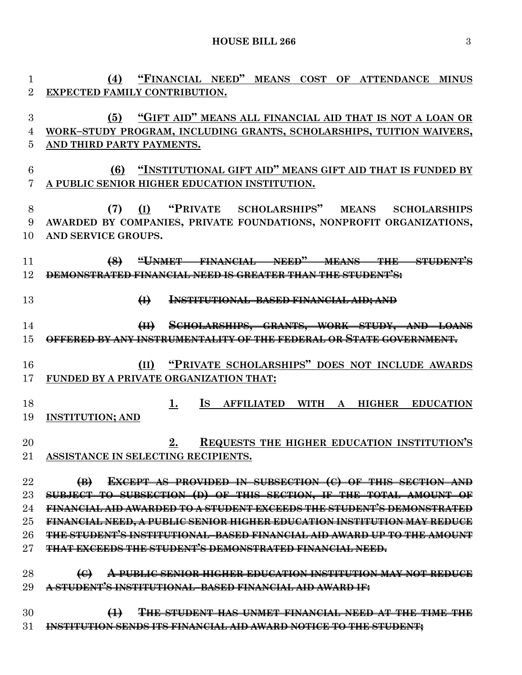**HOUSE BILL 266** 3

 **(4) "FINANCIAL NEED" MEANS COST OF ATTENDANCE MINUS EXPECTED FAMILY CONTRIBUTION. (5) "GIFT AID" MEANS ALL FINANCIAL AID THAT IS NOT A LOAN OR WORK–STUDY PROGRAM, INCLUDING GRANTS, SCHOLARSHIPS, TUITION WAIVERS, AND THIRD PARTY PAYMENTS. (6) "INSTITUTIONAL GIFT AID" MEANS GIFT AID THAT IS FUNDED BY A PUBLIC SENIOR HIGHER EDUCATION INSTITUTION. (7) (I) "PRIVATE SCHOLARSHIPS" MEANS SCHOLARSHIPS AWARDED BY COMPANIES, PRIVATE FOUNDATIONS, NONPROFIT ORGANIZATIONS, AND SERVICE GROUPS. (8) "UNMET FINANCIAL NEED" MEANS THE STUDENT'S DEMONSTRATED FINANCIAL NEED IS GREATER THAN THE STUDENT'S: (I) INSTITUTIONAL–BASED FINANCIAL AID; AND (II) SCHOLARSHIPS, GRANTS, WORK STUDY, AND LOANS OFFERED BY ANY INSTRUMENTALITY OF THE FEDERAL OR STATE GOVERNMENT. (II) "PRIVATE SCHOLARSHIPS" DOES NOT INCLUDE AWARDS FUNDED BY A PRIVATE ORGANIZATION THAT: 1. IS AFFILIATED WITH A HIGHER EDUCATION INSTITUTION; AND 2. REQUESTS THE HIGHER EDUCATION INSTITUTION'S ASSISTANCE IN SELECTING RECIPIENTS. (B) EXCEPT AS PROVIDED IN SUBSECTION (C) OF THIS SECTION AND SUBJECT TO SUBSECTION (D) OF THIS SECTION, IF THE TOTAL AMOUNT OF FINANCIAL AID AWARDED TO A STUDENT EXCEEDS THE STUDENT'S DEMONSTRATED FINANCIAL NEED, A PUBLIC SENIOR HIGHER EDUCATION INSTITUTION MAY REDUCE THE STUDENT'S INSTITUTIONAL–BASED FINANCIAL AID AWARD UP TO THE AMOUNT THAT EXCEEDS THE STUDENT'S DEMONSTRATED FINANCIAL NEED. (C) A PUBLIC SENIOR HIGHER EDUCATION INSTITUTION MAY NOT REDUCE A STUDENT'S INSTITUTIONAL–BASED FINANCIAL AID AWARD IF: (1) THE STUDENT HAS UNMET FINANCIAL NEED AT THE TIME THE**

**INSTITUTION SENDS ITS FINANCIAL AID AWARD NOTICE TO THE STUDENT;**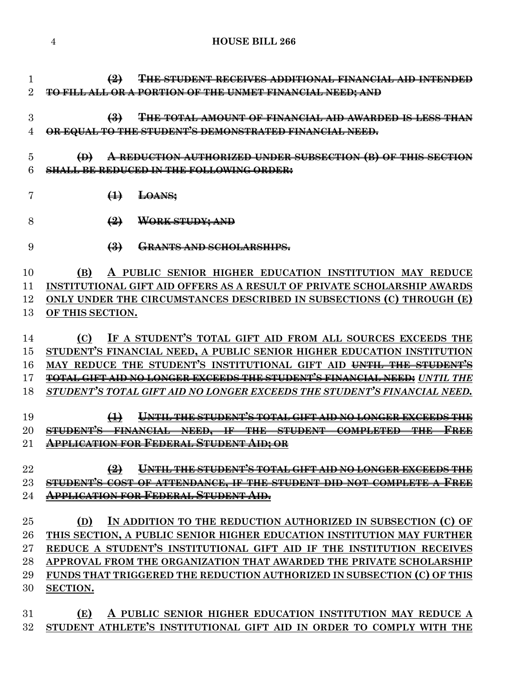**(2) THE STUDENT RECEIVES ADDITIONAL FINANCIAL AID INTENDED TO FILL ALL OR A PORTION OF THE UNMET FINANCIAL NEED; AND (3) THE TOTAL AMOUNT OF FINANCIAL AID AWARDED IS LESS THAN OR EQUAL TO THE STUDENT'S DEMONSTRATED FINANCIAL NEED. (D) A REDUCTION AUTHORIZED UNDER SUBSECTION (B) OF THIS SECTION SHALL BE REDUCED IN THE FOLLOWING ORDER: (1) LOANS; (2) WORK STUDY; AND (3) GRANTS AND SCHOLARSHIPS. (B) A PUBLIC SENIOR HIGHER EDUCATION INSTITUTION MAY REDUCE INSTITUTIONAL GIFT AID OFFERS AS A RESULT OF PRIVATE SCHOLARSHIP AWARDS ONLY UNDER THE CIRCUMSTANCES DESCRIBED IN SUBSECTIONS (C) THROUGH (E) OF THIS SECTION. (C) IF A STUDENT'S TOTAL GIFT AID FROM ALL SOURCES EXCEEDS THE STUDENT'S FINANCIAL NEED, A PUBLIC SENIOR HIGHER EDUCATION INSTITUTION MAY REDUCE THE STUDENT'S INSTITUTIONAL GIFT AID UNTIL THE STUDENT'S TOTAL GIFT AID NO LONGER EXCEEDS THE STUDENT'S FINANCIAL NEED:** *UNTIL THE STUDENT'S TOTAL GIFT AID NO LONGER EXCEEDS THE STUDENT'S FINANCIAL NEED.* **(1) UNTIL THE STUDENT'S TOTAL GIFT AID NO LONGER EXCEEDS THE STUDENT'S FINANCIAL NEED, IF THE STUDENT COMPLETED THE FREE APPLICATION FOR FEDERAL STUDENT AID; OR (2) UNTIL THE STUDENT'S TOTAL GIFT AID NO LONGER EXCEEDS THE STUDENT'S COST OF ATTENDANCE, IF THE STUDENT DID NOT COMPLETE A FREE APPLICATION FOR FEDERAL STUDENT AID. (D) IN ADDITION TO THE REDUCTION AUTHORIZED IN SUBSECTION (C) OF THIS SECTION, A PUBLIC SENIOR HIGHER EDUCATION INSTITUTION MAY FURTHER REDUCE A STUDENT'S INSTITUTIONAL GIFT AID IF THE INSTITUTION RECEIVES APPROVAL FROM THE ORGANIZATION THAT AWARDED THE PRIVATE SCHOLARSHIP FUNDS THAT TRIGGERED THE REDUCTION AUTHORIZED IN SUBSECTION (C) OF THIS SECTION. (E) A PUBLIC SENIOR HIGHER EDUCATION INSTITUTION MAY REDUCE A** 

**STUDENT ATHLETE'S INSTITUTIONAL GIFT AID IN ORDER TO COMPLY WITH THE** 

**HOUSE BILL 266**